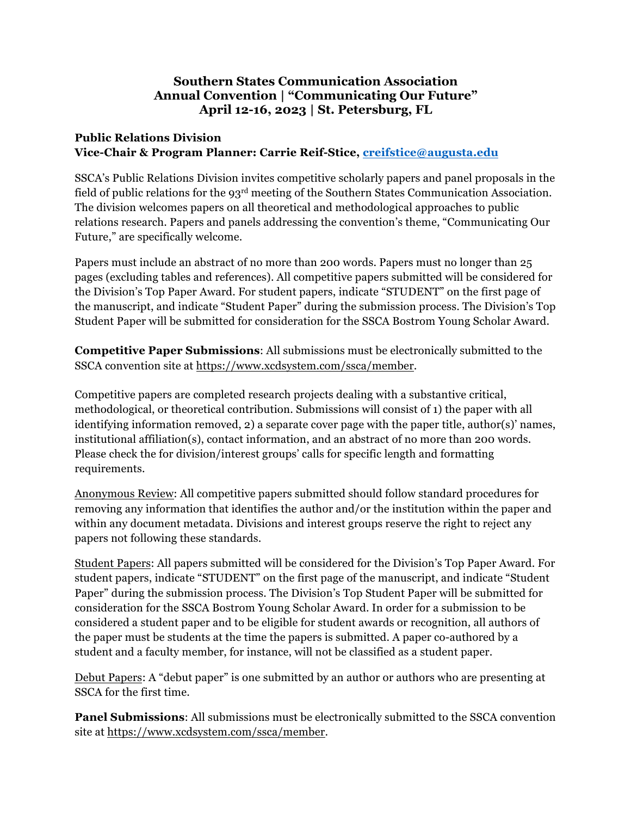## **Southern States Communication Association Annual Convention | "Communicating Our Future" April 12-16, 2023 | St. Petersburg, FL**

## **Public Relations Division Vice-Chair & Program Planner: Carrie Reif-Stice, creifstice@augusta.edu**

SSCA's Public Relations Division invites competitive scholarly papers and panel proposals in the field of public relations for the 93rd meeting of the Southern States Communication Association. The division welcomes papers on all theoretical and methodological approaches to public relations research. Papers and panels addressing the convention's theme, "Communicating Our Future," are specifically welcome.

Papers must include an abstract of no more than 200 words. Papers must no longer than 25 pages (excluding tables and references). All competitive papers submitted will be considered for the Division's Top Paper Award. For student papers, indicate "STUDENT" on the first page of the manuscript, and indicate "Student Paper" during the submission process. The Division's Top Student Paper will be submitted for consideration for the SSCA Bostrom Young Scholar Award.

**Competitive Paper Submissions**: All submissions must be electronically submitted to the SSCA convention site at https://www.xcdsystem.com/ssca/member.

Competitive papers are completed research projects dealing with a substantive critical, methodological, or theoretical contribution. Submissions will consist of 1) the paper with all identifying information removed, 2) a separate cover page with the paper title, author(s)' names, institutional affiliation(s), contact information, and an abstract of no more than 200 words. Please check the for division/interest groups' calls for specific length and formatting requirements.

Anonymous Review: All competitive papers submitted should follow standard procedures for removing any information that identifies the author and/or the institution within the paper and within any document metadata. Divisions and interest groups reserve the right to reject any papers not following these standards.

Student Papers: All papers submitted will be considered for the Division's Top Paper Award. For student papers, indicate "STUDENT" on the first page of the manuscript, and indicate "Student Paper" during the submission process. The Division's Top Student Paper will be submitted for consideration for the SSCA Bostrom Young Scholar Award. In order for a submission to be considered a student paper and to be eligible for student awards or recognition, all authors of the paper must be students at the time the papers is submitted. A paper co-authored by a student and a faculty member, for instance, will not be classified as a student paper.

Debut Papers: A "debut paper" is one submitted by an author or authors who are presenting at SSCA for the first time.

**Panel Submissions**: All submissions must be electronically submitted to the SSCA convention site at https://www.xcdsystem.com/ssca/member.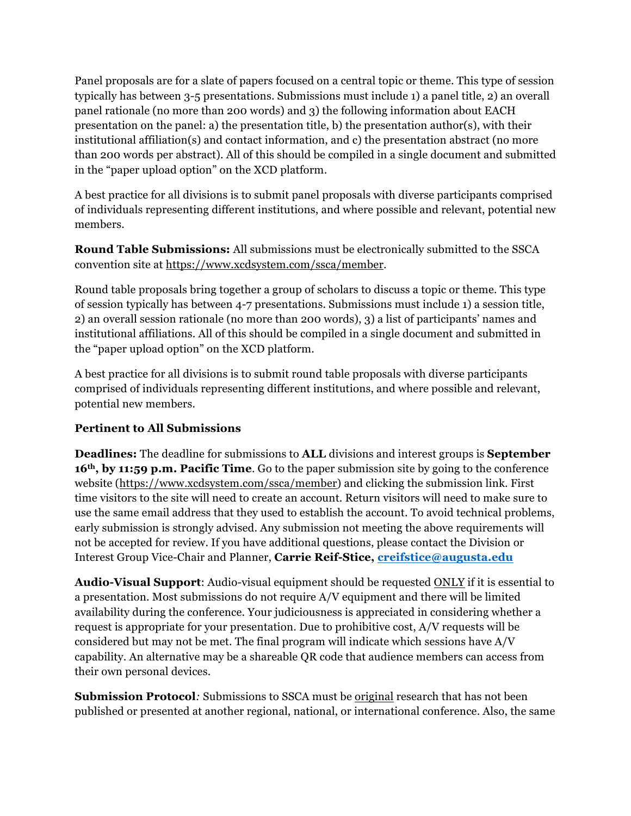Panel proposals are for a slate of papers focused on a central topic or theme. This type of session typically has between 3-5 presentations. Submissions must include 1) a panel title, 2) an overall panel rationale (no more than 200 words) and 3) the following information about EACH presentation on the panel: a) the presentation title, b) the presentation author(s), with their institutional affiliation(s) and contact information, and c) the presentation abstract (no more than 200 words per abstract). All of this should be compiled in a single document and submitted in the "paper upload option" on the XCD platform.

A best practice for all divisions is to submit panel proposals with diverse participants comprised of individuals representing different institutions, and where possible and relevant, potential new members.

**Round Table Submissions:** All submissions must be electronically submitted to the SSCA convention site at https://www.xcdsystem.com/ssca/member.

Round table proposals bring together a group of scholars to discuss a topic or theme. This type of session typically has between 4-7 presentations. Submissions must include 1) a session title, 2) an overall session rationale (no more than 200 words), 3) a list of participants' names and institutional affiliations. All of this should be compiled in a single document and submitted in the "paper upload option" on the XCD platform.

A best practice for all divisions is to submit round table proposals with diverse participants comprised of individuals representing different institutions, and where possible and relevant, potential new members.

## **Pertinent to All Submissions**

**Deadlines:** The deadline for submissions to **ALL** divisions and interest groups is **September 16th, by 11:59 p.m. Pacific Time**. Go to the paper submission site by going to the conference website (https://www.xcdsystem.com/ssca/member) and clicking the submission link. First time visitors to the site will need to create an account. Return visitors will need to make sure to use the same email address that they used to establish the account. To avoid technical problems, early submission is strongly advised. Any submission not meeting the above requirements will not be accepted for review. If you have additional questions, please contact the Division or Interest Group Vice-Chair and Planner, **Carrie Reif-Stice, creifstice@augusta.edu**

**Audio-Visual Support**: Audio-visual equipment should be requested ONLY if it is essential to a presentation. Most submissions do not require A/V equipment and there will be limited availability during the conference. Your judiciousness is appreciated in considering whether a request is appropriate for your presentation. Due to prohibitive cost, A/V requests will be considered but may not be met. The final program will indicate which sessions have A/V capability. An alternative may be a shareable QR code that audience members can access from their own personal devices.

**Submission Protocol***:* Submissions to SSCA must be original research that has not been published or presented at another regional, national, or international conference. Also, the same